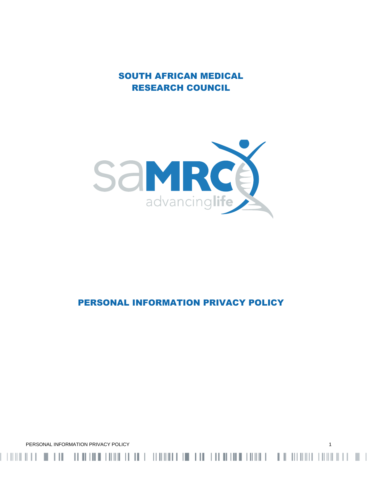SOUTH AFRICAN MEDICAL RESEARCH COUNCIL



# PERSONAL INFORMATION PRIVACY POLICY

PERSONAL INFORMATION PRIVACY POLICY 1

 $\blacksquare$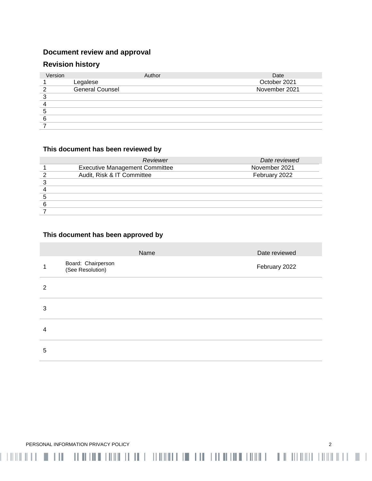# **Document review and approval**

# **Revision history**

| Version | Author          | Date          |
|---------|-----------------|---------------|
|         | Legalese        | October 2021  |
| ົ       | General Counsel | November 2021 |
| ົ       |                 |               |
|         |                 |               |
| 5       |                 |               |
| 6       |                 |               |
|         |                 |               |

# **This document has been reviewed by**

| Reviewer                              | Date reviewed |
|---------------------------------------|---------------|
| <b>Executive Management Committee</b> | November 2021 |
| Audit, Risk & IT Committee            | February 2022 |
|                                       |               |
|                                       |               |
|                                       |               |
|                                       |               |
|                                       |               |

# **This document has been approved by**

|                |                                        | Name | Date reviewed |
|----------------|----------------------------------------|------|---------------|
|                | Board: Chairperson<br>(See Resolution) |      | February 2022 |
| $\overline{2}$ |                                        |      |               |
| 3              |                                        |      |               |
| 4              |                                        |      |               |
| 5              |                                        |      |               |

ו של הרומנות המווידה והיה המווידה המווידה המווידה במהלך המווידה היה היה מווידה שמה מהירה בהיה של הרומנות היה ה

PERSONAL INFORMATION PRIVACY POLICY 2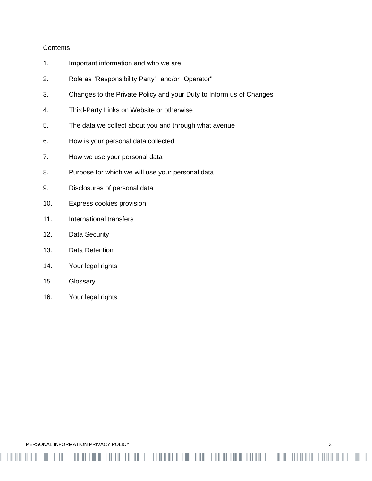# **Contents**

- 1. Important information and who we are
- 2. Role as "Responsibility Party" and/or "Operator"
- 3. Changes to the Private Policy and your Duty to Inform us of Changes

<u> 11 AN 110 AN 110 AN 110 AN 110 AN 110 AN 110 AN 110 AN 110 AN 110 AN 110 AN 110 AN 110 AN 110 AN 110 AN 110 AN</u>

- 4. Third-Party Links on Website or otherwise
- 5. The data we collect about you and through what avenue
- 6. How is your personal data collected
- 7. How we use your personal data
- 8. Purpose for which we will use your personal data
- 9. Disclosures of personal data
- 10. Express cookies provision
- 11. International transfers
- 12. Data Security
- 13. Data Retention
- 14. Your legal rights
- 15. Glossary
- 16. Your legal rights

PERSONAL INFORMATION PRIVACY POLICY **3** 3

 $\blacksquare$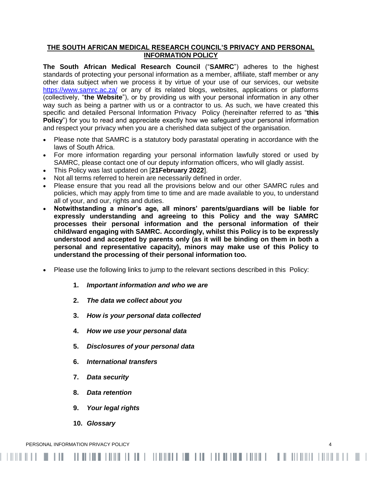# **THE SOUTH AFRICAN MEDICAL RESEARCH COUNCIL'S PRIVACY AND PERSONAL INFORMATION POLICY**

**The South African Medical Research Council** ("**SAMRC**") adheres to the highest standards of protecting your personal information as a member, affiliate, staff member or any other data subject when we process it by virtue of your use of our services, our website <https://www.samrc.ac.za/> or any of its related blogs, websites, applications or platforms (collectively, "**the Website**"), or by providing us with your personal information in any other way such as being a partner with us or a contractor to us. As such, we have created this specific and detailed Personal Information Privacy Policy (hereinafter referred to as "**this Policy**") for you to read and appreciate exactly how we safeguard your personal information and respect your privacy when you are a cherished data subject of the organisation.

- Please note that SAMRC is a statutory body parastatal operating in accordance with the laws of South Africa.
- For more information regarding your personal information lawfully stored or used by SAMRC, please contact one of our deputy information officers, who will gladly assist.
- This Policy was last updated on [**21February 2022**].
- Not all terms referred to herein are necessarily defined in order.
- Please ensure that you read all the provisions below and our other SAMRC rules and policies, which may apply from time to time and are made available to you, to understand all of your, and our, rights and duties.
- **Notwithstanding a minor's age, all minors' parents/guardians will be liable for expressly understanding and agreeing to this Policy and the way SAMRC processes their personal information and the personal information of their child/ward engaging with SAMRC. Accordingly, whilst this Policy is to be expressly understood and accepted by parents only (as it will be binding on them in both a personal and representative capacity), minors may make use of this Policy to understand the processing of their personal information too.**
- Please use the following links to jump to the relevant sections described in this Policy:

- **1.** *Important information and who we are*
- **2.** *The data we collect about you*
- **3.** *How is your personal data collected*
- **4.** *How we use your personal data*
- **5.** *Disclosures of your personal data*
- **6.** *International transfers*
- **7.** *Data security*
- **8.** *Data retention*
- **9.** *Your legal rights*
- **10.** *Glossary*

PERSONAL INFORMATION PRIVACY POLICY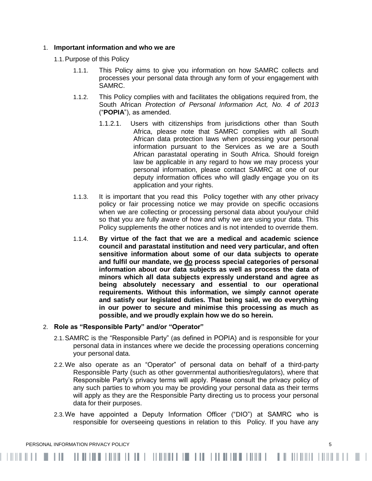## 1. **Important information and who we are**

- 1.1.Purpose of this Policy
	- 1.1.1. This Policy aims to give you information on how SAMRC collects and processes your personal data through any form of your engagement with SAMRC.
	- 1.1.2. This Policy complies with and facilitates the obligations required from, the South African *Protection of Personal Information Act, No. 4 of 2013* ("**POPIA**"), as amended.
		- 1.1.2.1. Users with citizenships from jurisdictions other than South Africa, please note that SAMRC complies with all South African data protection laws when processing your personal information pursuant to the Services as we are a South African parastatal operating in South Africa. Should foreign law be applicable in any regard to how we may process your personal information, please contact SAMRC at one of our deputy information offices who will gladly engage you on its application and your rights.
	- 1.1.3. It is important that you read this Policy together with any other privacy policy or fair processing notice we may provide on specific occasions when we are collecting or processing personal data about you/your child so that you are fully aware of how and why we are using your data. This Policy supplements the other notices and is not intended to override them.
	- 1.1.4. **By virtue of the fact that we are a medical and academic science council and parastatal institution and need very particular, and often sensitive information about some of our data subjects to operate and fulfil our mandate, we do process special categories of personal information about our data subjects as well as process the data of minors which all data subjects expressly understand and agree as being absolutely necessary and essential to our operational requirements. Without this information, we simply cannot operate and satisfy our legislated duties. That being said, we do everything in our power to secure and minimise this processing as much as possible, and we proudly explain how we do so herein.**

# 2. **Role as "Responsible Party" and/or "Operator"**

- 2.1.SAMRC is the "Responsible Party" (as defined in POPIA) and is responsible for your personal data in instances where we decide the processing operations concerning your personal data.
- 2.2.We also operate as an "Operator" of personal data on behalf of a third-party Responsible Party (such as other governmental authorities/regulators), where that Responsible Party's privacy terms will apply. Please consult the privacy policy of any such parties to whom you may be providing your personal data as their terms will apply as they are the Responsible Party directing us to process your personal data for their purposes.
- 2.3.We have appointed a Deputy Information Officer ("DIO") at SAMRC who is responsible for overseeing questions in relation to this Policy. If you have any

PERSONAL INFORMATION PRIVACY POLICY **FOLICY** 5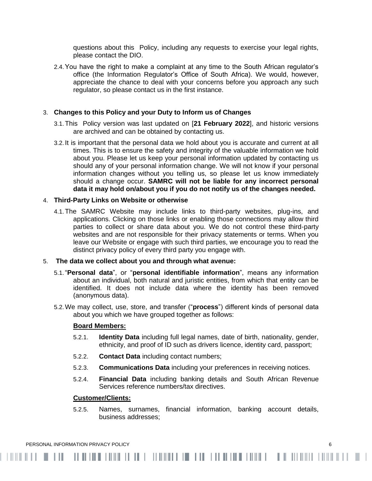questions about this Policy, including any requests to exercise your legal rights, please contact the DIO.

2.4.You have the right to make a complaint at any time to the South African regulator's office (the [Information Regulator's Office of South Africa\)](http://www.justice.gov.za/inforeg/). We would, however, appreciate the chance to deal with your concerns before you approach any such regulator, so please contact us in the first instance.

# 3. **Changes to this Policy and your Duty to Inform us of Changes**

- 3.1.This Policy version was last updated on [**21 February 2022**], and historic versions are archived and can be obtained by contacting us.
- 3.2. It is important that the personal data we hold about you is accurate and current at all times. This is to ensure the safety and integrity of the valuable information we hold about you. Please let us keep your personal information updated by contacting us should any of your personal information change. We will not know if your personal information changes without you telling us, so please let us know immediately should a change occur. **SAMRC will not be liable for any incorrect personal data it may hold on/about you if you do not notify us of the changes needed.**

# 4. **Third-Party Links on Website or otherwise**

4.1.The SAMRC Website may include links to third-party websites, plug-ins, and applications. Clicking on those links or enabling those connections may allow third parties to collect or share data about you. We do not control these third-party websites and are not responsible for their privacy statements or terms. When you leave our Website or engage with such third parties, we encourage you to read the distinct privacy policy of every third party you engage with.

## 5. **The data we collect about you and through what avenue:**

- 5.1."**Personal data**", or "**personal identifiable information**", means any information about an individual, both natural and juristic entities, from which that entity can be identified. It does not include data where the identity has been removed (anonymous data).
- 5.2.We may collect, use, store, and transfer ("**process**") different kinds of personal data about you which we have grouped together as follows:

## **Board Members:**

- 5.2.1. **Identity Data** including full legal names, date of birth, nationality, gender, ethnicity, and proof of ID such as drivers licence, identity card, passport;
- 5.2.2. **Contact Data** including contact numbers;
- 5.2.3. **Communications Data** including your preferences in receiving notices.
- 5.2.4. **Financial Data** including banking details and South African Revenue Services reference numbers/tax directives.

#### **Customer/Clients:**

5.2.5. Names, surnames, financial information, banking account details, business addresses;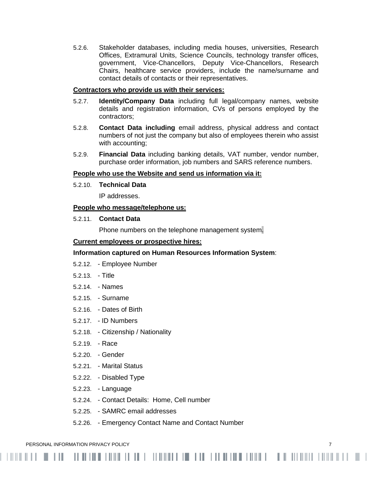5.2.6. Stakeholder databases, including media houses, universities, Research Offices, Extramural Units, Science Councils, technology transfer offices, government, Vice-Chancellors, Deputy Vice-Chancellors, Research Chairs, healthcare service providers, include the name/surname and contact details of contacts or their representatives.

## **Contractors who provide us with their services:**

- 5.2.7. **Identity/Company Data** including full legal/company names, website details and registration information, CVs of persons employed by the contractors;
- 5.2.8. **Contact Data including** email address, physical address and contact numbers of not just the company but also of employees therein who assist with accounting;
- 5.2.9. **Financial Data** including banking details, VAT number, vendor number, purchase order information, job numbers and SARS reference numbers.

#### **People who use the Website and send us information via it:**

5.2.10. **Technical Data**

IP addresses.

# **People who message/telephone us:**

5.2.11. **Contact Data**

Phone numbers on the telephone management system.

#### **Current employees or prospective hires:**

## **Information captured on Human Resources Information System**:

- 5.2.12. Employee Number
- 5.2.13. Title
- 5.2.14. Names
- 5.2.15. Surname
- 5.2.16. Dates of Birth
- 5.2.17. ID Numbers
- 5.2.18. Citizenship / Nationality
- 5.2.19. Race
- 5.2.20. Gender
- 5.2.21. Marital Status
- 5.2.22. Disabled Type
- 5.2.23. Language
- 5.2.24. Contact Details: Home, Cell number
- 5.2.25. SAMRC email addresses
- 5.2.26. Emergency Contact Name and Contact Number

PERSONAL INFORMATION PRIVACY POLICY **7** THE RESONAL INFORMATION PRIVACY POLICY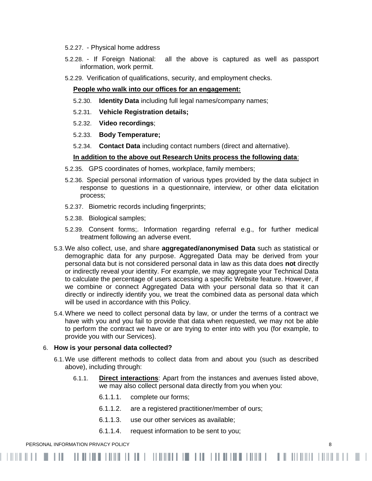- 5.2.27. Physical home address
- 5.2.28. If Foreign National: all the above is captured as well as passport information, work permit.
- 5.2.29. Verification of qualifications, security, and employment checks.

#### **People who walk into our offices for an engagement:**

- 5.2.30. **Identity Data** including full legal names/company names;
- 5.2.31. **Vehicle Registration details;**
- 5.2.32. **Video recordings**;
- 5.2.33. **Body Temperature;**
- 5.2.34. **Contact Data** including contact numbers (direct and alternative).

#### **In addition to the above out Research Units process the following data**:

- 5.2.35. GPS coordinates of homes, workplace, family members;
- 5.2.36. Special personal information of various types provided by the data subject in response to questions in a questionnaire, interview, or other data elicitation process;
- 5.2.37. Biometric records including fingerprints;
- 5.2.38. Biological samples;
- 5.2.39. Consent forms;. Information regarding referral e.g., for further medical treatment following an adverse event.
- 5.3.We also collect, use, and share **aggregated/anonymised Data** such as statistical or demographic data for any purpose. Aggregated Data may be derived from your personal data but is not considered personal data in law as this data does **not** directly or indirectly reveal your identity. For example, we may aggregate your Technical Data to calculate the percentage of users accessing a specific Website feature. However, if we combine or connect Aggregated Data with your personal data so that it can directly or indirectly identify you, we treat the combined data as personal data which will be used in accordance with this Policy.
- 5.4.Where we need to collect personal data by law, or under the terms of a contract we have with you and you fail to provide that data when requested, we may not be able to perform the contract we have or are trying to enter into with you (for example, to provide you with our Services).

#### 6. **How is your personal data collected?**

- 6.1.We use different methods to collect data from and about you (such as described above), including through:
	- 6.1.1. **Direct interactions**: Apart from the instances and avenues listed above, we may also collect personal data directly from you when you:
		- 6.1.1.1. complete our forms;
		- 6.1.1.2. are a registered practitioner/member of ours;
		- 6.1.1.3. use our other services as available;
		- 6.1.1.4. request information to be sent to you;

#### PERSONAL INFORMATION PRIVACY POLICY 8

. . . .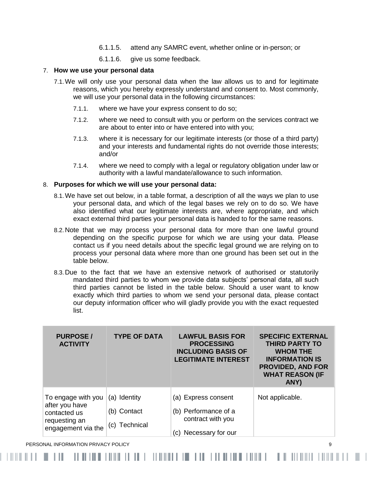- 6.1.1.5. attend any SAMRC event, whether online or in-person; or
- 6.1.1.6. give us some feedback.

#### 7. **How we use your personal data**

- 7.1.We will only use your personal data when the law allows us to and for legitimate reasons, which you hereby expressly understand and consent to. Most commonly, we will use your personal data in the following circumstances:
	- 7.1.1. where we have your express consent to do so;
	- 7.1.2. where we need to consult with you or perform on the services contract we are about to enter into or have entered into with you;
	- 7.1.3. where it is necessary for our legitimate interests (or those of a third party) and your interests and fundamental rights do not override those interests; and/or
	- 7.1.4. where we need to comply with a legal or regulatory obligation under law or authority with a lawful mandate/allowance to such information.

#### 8. **Purposes for which we will use your personal data:**

- 8.1.We have set out below, in a table format, a description of all the ways we plan to use your personal data, and which of the legal bases we rely on to do so. We have also identified what our legitimate interests are, where appropriate, and which exact external third parties your personal data is handed to for the same reasons.
- 8.2.Note that we may process your personal data for more than one lawful ground depending on the specific purpose for which we are using your data. Please contact us if you need details about the specific legal ground we are relying on to process your personal data where more than one ground has been set out in the table below.
- 8.3.Due to the fact that we have an extensive network of authorised or statutorily mandated third parties to whom we provide data subjects' personal data, all such third parties cannot be listed in the table below. Should a user want to know exactly which third parties to whom we send your personal data, please contact our deputy information officer who will gladly provide you with the exact requested list.

| <b>PURPOSE/</b><br><b>ACTIVITY</b>                                                          | <b>TYPE OF DATA</b>                          | <b>LAWFUL BASIS FOR</b><br><b>PROCESSING</b><br><b>INCLUDING BASIS OF</b><br><b>LEGITIMATE INTEREST</b> | <b>SPECIFIC EXTERNAL</b><br><b>THIRD PARTY TO</b><br><b>WHOM THE</b><br><b>INFORMATION IS</b><br><b>PROVIDED, AND FOR</b><br><b>WHAT REASON (IF</b><br>ANY) |
|---------------------------------------------------------------------------------------------|----------------------------------------------|---------------------------------------------------------------------------------------------------------|-------------------------------------------------------------------------------------------------------------------------------------------------------------|
| To engage with you<br>after you have<br>contacted us<br>requesting an<br>engagement via the | (a) Identity<br>(b) Contact<br>(c) Technical | (a) Express consent<br>(b) Performance of a<br>contract with you<br>Necessary for our<br>(C)            | Not applicable.                                                                                                                                             |

PERSONAL INFORMATION PRIVACY POLICY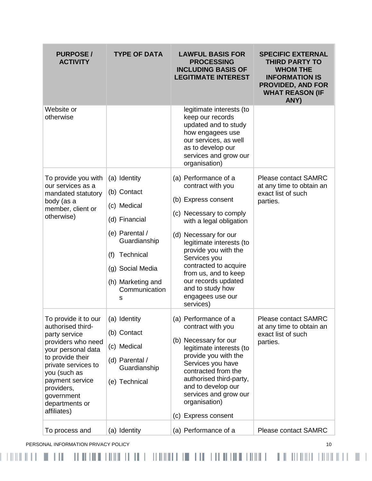| <b>PURPOSE/</b><br><b>ACTIVITY</b>                                                                                                                                                                                                                | <b>TYPE OF DATA</b>                                                                                                                                                              | <b>LAWFUL BASIS FOR</b><br><b>PROCESSING</b><br><b>INCLUDING BASIS OF</b><br><b>LEGITIMATE INTEREST</b>                                                                                                                                                                                                                                          | <b>SPECIFIC EXTERNAL</b><br><b>THIRD PARTY TO</b><br><b>WHOM THE</b><br><b>INFORMATION IS</b><br><b>PROVIDED, AND FOR</b><br><b>WHAT REASON (IF</b><br>ANY) |
|---------------------------------------------------------------------------------------------------------------------------------------------------------------------------------------------------------------------------------------------------|----------------------------------------------------------------------------------------------------------------------------------------------------------------------------------|--------------------------------------------------------------------------------------------------------------------------------------------------------------------------------------------------------------------------------------------------------------------------------------------------------------------------------------------------|-------------------------------------------------------------------------------------------------------------------------------------------------------------|
| Website or<br>otherwise                                                                                                                                                                                                                           |                                                                                                                                                                                  | legitimate interests (to<br>keep our records<br>updated and to study<br>how engagees use<br>our services, as well<br>as to develop our<br>services and grow our<br>organisation)                                                                                                                                                                 |                                                                                                                                                             |
| To provide you with<br>our services as a<br>mandated statutory<br>body (as a<br>member, client or<br>otherwise)                                                                                                                                   | (a) Identity<br>(b) Contact<br>(c) Medical<br>(d) Financial<br>(e) Parental /<br>Guardianship<br>Technical<br>(f)<br>(g) Social Media<br>(h) Marketing and<br>Communication<br>s | (a) Performance of a<br>contract with you<br>(b) Express consent<br>(c) Necessary to comply<br>with a legal obligation<br>(d) Necessary for our<br>legitimate interests (to<br>provide you with the<br>Services you<br>contracted to acquire<br>from us, and to keep<br>our records updated<br>and to study how<br>engagees use our<br>services) | <b>Please contact SAMRC</b><br>at any time to obtain an<br>exact list of such<br>parties.                                                                   |
| To provide it to our<br>authorised third-<br>party service<br>providers who need<br>your personal data<br>to provide their<br>private services to<br>you (such as<br>payment service<br>providers,<br>government<br>departments or<br>affiliates) | (a) Identity<br>(b) Contact<br>(c) Medical<br>(d) Parental /<br>Guardianship<br>(e) Technical                                                                                    | (a) Performance of a<br>contract with you<br>(b) Necessary for our<br>legitimate interests (to<br>provide you with the<br>Services you have<br>contracted from the<br>authorised third-party,<br>and to develop our<br>services and grow our<br>organisation)<br>(c) Express consent                                                             | <b>Please contact SAMRC</b><br>at any time to obtain an<br>exact list of such<br>parties.                                                                   |
| To process and                                                                                                                                                                                                                                    | (a) Identity                                                                                                                                                                     | (a) Performance of a                                                                                                                                                                                                                                                                                                                             | Please contact SAMRC                                                                                                                                        |

PERSONAL INFORMATION PRIVACY POLICY **10**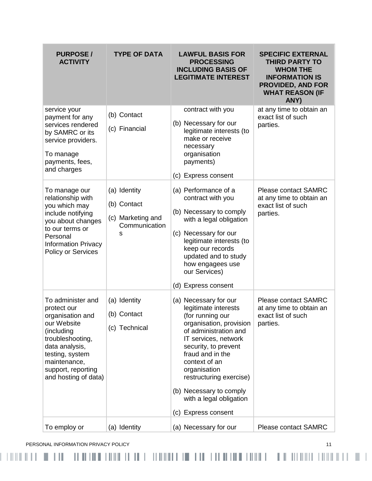| <b>PURPOSE/</b><br><b>ACTIVITY</b>                                                                                                                                                                       | <b>TYPE OF DATA</b>                                                    | <b>LAWFUL BASIS FOR</b><br><b>PROCESSING</b><br><b>INCLUDING BASIS OF</b><br><b>LEGITIMATE INTEREST</b>                                                                                                                                                                                                                            | <b>SPECIFIC EXTERNAL</b><br><b>THIRD PARTY TO</b><br><b>WHOM THE</b><br><b>INFORMATION IS</b><br><b>PROVIDED, AND FOR</b><br><b>WHAT REASON (IF</b><br>ANY) |
|----------------------------------------------------------------------------------------------------------------------------------------------------------------------------------------------------------|------------------------------------------------------------------------|------------------------------------------------------------------------------------------------------------------------------------------------------------------------------------------------------------------------------------------------------------------------------------------------------------------------------------|-------------------------------------------------------------------------------------------------------------------------------------------------------------|
| service your<br>payment for any<br>services rendered<br>by SAMRC or its<br>service providers.<br>To manage<br>payments, fees,<br>and charges                                                             | (b) Contact<br>(c) Financial                                           | contract with you<br>(b) Necessary for our<br>legitimate interests (to<br>make or receive<br>necessary<br>organisation<br>payments)<br>(c) Express consent                                                                                                                                                                         | at any time to obtain an<br>exact list of such<br>parties.                                                                                                  |
| To manage our<br>relationship with<br>you which may<br>include notifying<br>you about changes<br>to our terms or<br>Personal<br><b>Information Privacy</b><br><b>Policy or Services</b>                  | (a) Identity<br>(b) Contact<br>(c) Marketing and<br>Communication<br>s | (a) Performance of a<br>contract with you<br>(b) Necessary to comply<br>with a legal obligation<br>(c) Necessary for our<br>legitimate interests (to<br>keep our records<br>updated and to study<br>how engagees use<br>our Services)<br>(d) Express consent                                                                       | <b>Please contact SAMRC</b><br>at any time to obtain an<br>exact list of such<br>parties.                                                                   |
| To administer and<br>protect our<br>organisation and<br>our Website<br>(including<br>troubleshooting,<br>data analysis,<br>testing, system<br>maintenance,<br>support, reporting<br>and hosting of data) | (a) Identity<br>(b) Contact<br>(c) Technical                           | (a) Necessary for our<br>legitimate interests<br>(for running our<br>organisation, provision<br>of administration and<br>IT services, network<br>security, to prevent<br>fraud and in the<br>context of an<br>organisation<br>restructuring exercise)<br>(b) Necessary to comply<br>with a legal obligation<br>(c) Express consent | <b>Please contact SAMRC</b><br>at any time to obtain an<br>exact list of such<br>parties.                                                                   |
| To employ or                                                                                                                                                                                             | (a) Identity                                                           | (a) Necessary for our                                                                                                                                                                                                                                                                                                              | <b>Please contact SAMRC</b>                                                                                                                                 |

PERSONAL INFORMATION PRIVACY POLICY **11**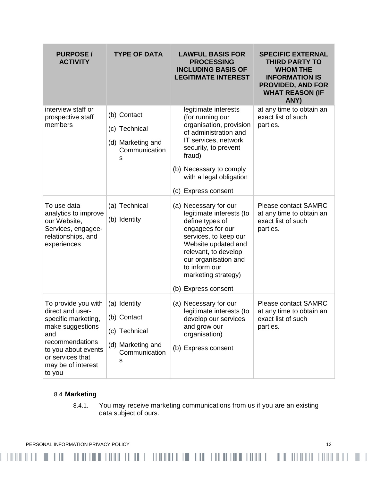| <b>PURPOSE/</b><br><b>ACTIVITY</b>                                                                                                                                                      | <b>TYPE OF DATA</b>                                                                     | <b>LAWFUL BASIS FOR</b><br><b>PROCESSING</b><br><b>INCLUDING BASIS OF</b><br><b>LEGITIMATE INTEREST</b>                                                                                                                                                 | <b>SPECIFIC EXTERNAL</b><br><b>THIRD PARTY TO</b><br><b>WHOM THE</b><br><b>INFORMATION IS</b><br><b>PROVIDED, AND FOR</b><br><b>WHAT REASON (IF</b><br>ANY) |
|-----------------------------------------------------------------------------------------------------------------------------------------------------------------------------------------|-----------------------------------------------------------------------------------------|---------------------------------------------------------------------------------------------------------------------------------------------------------------------------------------------------------------------------------------------------------|-------------------------------------------------------------------------------------------------------------------------------------------------------------|
| interview staff or<br>prospective staff<br>members                                                                                                                                      | (b) Contact<br>(c) Technical<br>(d) Marketing and<br>Communication<br>s                 | legitimate interests<br>(for running our<br>organisation, provision<br>of administration and<br>IT services, network<br>security, to prevent<br>fraud)<br>(b) Necessary to comply<br>with a legal obligation<br>(c) Express consent                     | at any time to obtain an<br>exact list of such<br>parties.                                                                                                  |
| To use data<br>analytics to improve<br>our Website,<br>Services, engagee-<br>relationships, and<br>experiences                                                                          | (a) Technical<br>(b) Identity                                                           | (a) Necessary for our<br>legitimate interests (to<br>define types of<br>engagees for our<br>services, to keep our<br>Website updated and<br>relevant, to develop<br>our organisation and<br>to inform our<br>marketing strategy)<br>(b) Express consent | <b>Please contact SAMRC</b><br>at any time to obtain an<br>exact list of such<br>parties.                                                                   |
| To provide you with<br>direct and user-<br>specific marketing,<br>make suggestions<br>and<br>recommendations<br>to you about events<br>or services that<br>may be of interest<br>to you | (a) Identity<br>(b) Contact<br>(c) Technical<br>(d) Marketing and<br>Communication<br>s | (a) Necessary for our<br>legitimate interests (to<br>develop our services<br>and grow our<br>organisation)<br>(b) Express consent                                                                                                                       | <b>Please contact SAMRC</b><br>at any time to obtain an<br>exact list of such<br>parties.                                                                   |

# 8.4.**Marketing**

8.4.1. You may receive marketing communications from us if you are an existing data subject of ours.

-1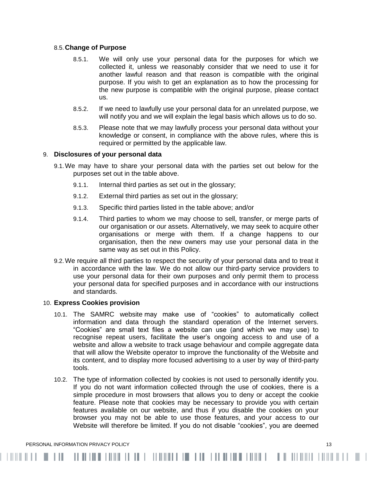## 8.5.**Change of Purpose**

- 8.5.1. We will only use your personal data for the purposes for which we collected it, unless we reasonably consider that we need to use it for another lawful reason and that reason is compatible with the original purpose. If you wish to get an explanation as to how the processing for the new purpose is compatible with the original purpose, please contact us.
- 8.5.2. If we need to lawfully use your personal data for an unrelated purpose, we will notify you and we will explain the legal basis which allows us to do so.
- 8.5.3. Please note that we may lawfully process your personal data without your knowledge or consent, in compliance with the above rules, where this is required or permitted by the applicable law.

#### 9. **Disclosures of your personal data**

- 9.1.We may have to share your personal data with the parties set out below for the purposes set out in the table above.
	- 9.1.1. Internal third parties as set out in the glossary;
	- 9.1.2. External third parties as set out in the glossary;
	- 9.1.3. Specific third parties listed in the table above; and/or
	- 9.1.4. Third parties to whom we may choose to sell, transfer, or merge parts of our organisation or our assets. Alternatively, we may seek to acquire other organisations or merge with them. If a change happens to our organisation, then the new owners may use your personal data in the same way as set out in this Policy.
- 9.2.We require all third parties to respect the security of your personal data and to treat it in accordance with the law. We do not allow our third-party service providers to use your personal data for their own purposes and only permit them to process your personal data for specified purposes and in accordance with our instructions and standards.

#### 10. **Express Cookies provision**

- 10.1. The SAMRC website may make use of "cookies" to automatically collect information and data through the standard operation of the Internet servers. "Cookies" are small text files a website can use (and which we may use) to recognise repeat users, facilitate the user's ongoing access to and use of a website and allow a website to track usage behaviour and compile aggregate data that will allow the Website operator to improve the functionality of the Website and its content, and to display more focused advertising to a user by way of third-party tools.
- 10.2. The type of information collected by cookies is not used to personally identify you. If you do not want information collected through the use of cookies, there is a simple procedure in most browsers that allows you to deny or accept the cookie feature. Please note that cookies may be necessary to provide you with certain features available on our website, and thus if you disable the cookies on your browser you may not be able to use those features, and your access to our Website will therefore be limited. If you do not disable "cookies", you are deemed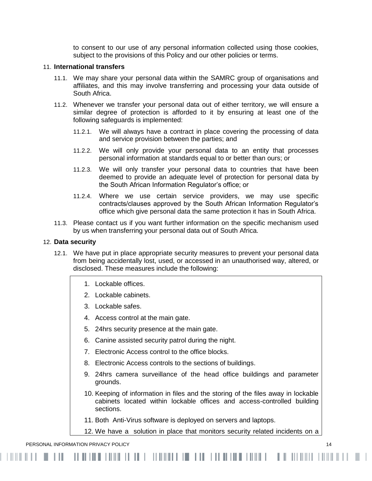to consent to our use of any personal information collected using those cookies, subject to the provisions of this Policy and our other policies or terms.

### 11. **International transfers**

- 11.1. We may share your personal data within the SAMRC group of organisations and affiliates, and this may involve transferring and processing your data outside of South Africa.
- 11.2. Whenever we transfer your personal data out of either territory, we will ensure a similar degree of protection is afforded to it by ensuring at least one of the following safeguards is implemented:
	- 11.2.1. We will always have a contract in place covering the processing of data and service provision between the parties; and
	- 11.2.2. We will only provide your personal data to an entity that processes personal information at standards equal to or better than ours; or
	- 11.2.3. We will only transfer your personal data to countries that have been deemed to provide an adequate level of protection for personal data by the South African Information Regulator's office; or
	- 11.2.4. Where we use certain service providers, we may use specific contracts/clauses approved by the South African Information Regulator's office which give personal data the same protection it has in South Africa.
- 11.3. Please contact us if you want further information on the specific mechanism used by us when transferring your personal data out of South Africa.

### 12. **Data security**

- 12.1. We have put in place appropriate security measures to prevent your personal data from being accidentally lost, used, or accessed in an unauthorised way, altered, or disclosed. These measures include the following:
	- 1. Lockable offices.
	- 2. Lockable cabinets.
	- 3. Lockable safes.
	- 4. Access control at the main gate.
	- 5. 24hrs security presence at the main gate.
	- 6. Canine assisted security patrol during the night.
	- 7. Electronic Access control to the office blocks.
	- 8. Electronic Access controls to the sections of buildings.
	- 9. 24hrs camera surveillance of the head office buildings and parameter grounds.
	- 10. Keeping of information in files and the storing of the files away in lockable cabinets located within lockable offices and access-controlled building sections.
	- 11. Both Anti-Virus software is deployed on servers and laptops.

12. We have a solution in place that monitors security related incidents on a

PERSONAL INFORMATION PRIVACY POLICY 14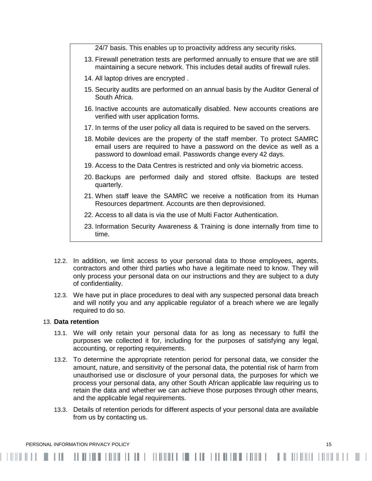24/7 basis. This enables up to proactivity address any security risks. 13. Firewall penetration tests are performed annually to ensure that we are still maintaining a secure network. This includes detail audits of firewall rules. 14. All laptop drives are encrypted . 15. Security audits are performed on an annual basis by the Auditor General of South Africa. 16. Inactive accounts are automatically disabled. New accounts creations are verified with user application forms. 17. In terms of the user policy all data is required to be saved on the servers. 18. Mobile devices are the property of the staff member. To protect SAMRC email users are required to have a password on the device as well as a password to download email. Passwords change every 42 days. 19. Access to the Data Centres is restricted and only via biometric access. 20. Backups are performed daily and stored offsite. Backups are tested quarterly. 21. When staff leave the SAMRC we receive a notification from its Human Resources department. Accounts are then deprovisioned. 22. Access to all data is via the use of Multi Factor Authentication. 23. Information Security Awareness & Training is done internally from time to time.

- 12.2. In addition, we limit access to your personal data to those employees, agents, contractors and other third parties who have a legitimate need to know. They will only process your personal data on our instructions and they are subject to a duty of confidentiality.
- 12.3. We have put in place procedures to deal with any suspected personal data breach and will notify you and any applicable regulator of a breach where we are legally required to do so.

## 13. **Data retention**

- 13.1. We will only retain your personal data for as long as necessary to fulfil the purposes we collected it for, including for the purposes of satisfying any legal, accounting, or reporting requirements.
- 13.2. To determine the appropriate retention period for personal data, we consider the amount, nature, and sensitivity of the personal data, the potential risk of harm from unauthorised use or disclosure of your personal data, the purposes for which we process your personal data, any other South African applicable law requiring us to retain the data and whether we can achieve those purposes through other means, and the applicable legal requirements.
- 13.3. Details of retention periods for different aspects of your personal data are available from us by contacting us.

. . .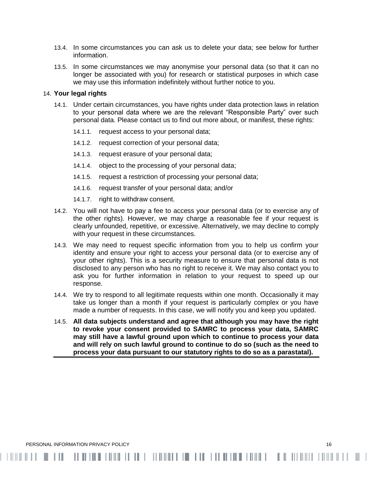- 13.4. In some circumstances you can ask us to delete your data; see below for further information.
- 13.5. In some circumstances we may anonymise your personal data (so that it can no longer be associated with you) for research or statistical purposes in which case we may use this information indefinitely without further notice to you.

### 14. **Your legal rights**

- 14.1. Under certain circumstances, you have rights under data protection laws in relation to your personal data where we are the relevant "Responsible Party" over such personal data. Please contact us to find out more about, or manifest, these rights:
	- 14.1.1. request access to your personal data;
	- 14.1.2. request correction of your personal data;
	- 14.1.3. request erasure of your personal data;

- 14.1.4. object to the processing of your personal data;
- 14.1.5. request a restriction of processing your personal data;
- 14.1.6. request transfer of your personal data; and/or
- 14.1.7. right to withdraw consent.
- 14.2. You will not have to pay a fee to access your personal data (or to exercise any of the other rights). However, we may charge a reasonable fee if your request is clearly unfounded, repetitive, or excessive. Alternatively, we may decline to comply with your request in these circumstances.
- 14.3. We may need to request specific information from you to help us confirm your identity and ensure your right to access your personal data (or to exercise any of your other rights). This is a security measure to ensure that personal data is not disclosed to any person who has no right to receive it. We may also contact you to ask you for further information in relation to your request to speed up our response.
- 14.4. We try to respond to all legitimate requests within one month. Occasionally it may take us longer than a month if your request is particularly complex or you have made a number of requests. In this case, we will notify you and keep you updated.
- 14.5. **All data subjects understand and agree that although you may have the right to revoke your consent provided to SAMRC to process your data, SAMRC may still have a lawful ground upon which to continue to process your data and will rely on such lawful ground to continue to do so (such as the need to process your data pursuant to our statutory rights to do so as a parastatal).**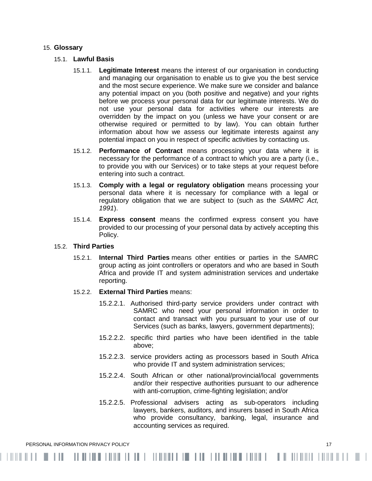#### 15. **Glossary**

#### 15.1. **Lawful Basis**

- 15.1.1. **Legitimate Interest** means the interest of our organisation in conducting and managing our organisation to enable us to give you the best service and the most secure experience. We make sure we consider and balance any potential impact on you (both positive and negative) and your rights before we process your personal data for our legitimate interests. We do not use your personal data for activities where our interests are overridden by the impact on you (unless we have your consent or are otherwise required or permitted to by law). You can obtain further information about how we assess our legitimate interests against any potential impact on you in respect of specific activities by contacting us.
- 15.1.2. **Performance of Contract** means processing your data where it is necessary for the performance of a contract to which you are a party (i.e., to provide you with our Services) or to take steps at your request before entering into such a contract.
- 15.1.3. **Comply with a legal or regulatory obligation** means processing your personal data where it is necessary for compliance with a legal or regulatory obligation that we are subject to (such as the *SAMRC Act, 1991*).
- 15.1.4. **Express consent** means the confirmed express consent you have provided to our processing of your personal data by actively accepting this Policy.

## 15.2. **Third Parties**

15.2.1. **Internal Third Parties** means other entities or parties in the SAMRC group acting as joint controllers or operators and who are based in South Africa and provide IT and system administration services and undertake reporting.

## 15.2.2. **External Third Parties** means:

- 15.2.2.1. Authorised third-party service providers under contract with SAMRC who need your personal information in order to contact and transact with you pursuant to your use of our Services (such as banks, lawyers, government departments);
- 15.2.2.2. specific third parties who have been identified in the table above;
- 15.2.2.3. service providers acting as processors based in South Africa who provide IT and system administration services;
- 15.2.2.4. South African or other national/provincial/local governments and/or their respective authorities pursuant to our adherence with anti-corruption, crime-fighting legislation; and/or
- 15.2.2.5. Professional advisers acting as sub-operators including lawyers, bankers, auditors, and insurers based in South Africa who provide consultancy, banking, legal, insurance and accounting services as required.

PERSONAL INFORMATION PRIVACY POLICY 17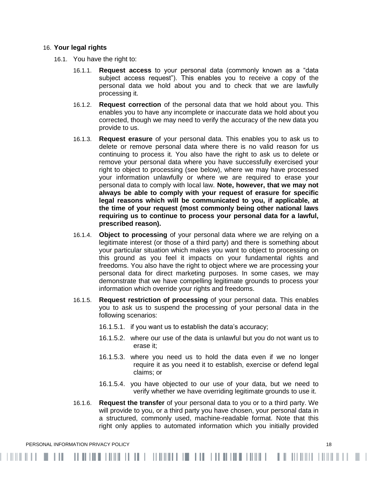#### 16. **Your legal rights**

- 16.1. You have the right to:
	- 16.1.1. **Request access** to your personal data (commonly known as a "data subject access request"). This enables you to receive a copy of the personal data we hold about you and to check that we are lawfully processing it.
	- 16.1.2. **Request correction** of the personal data that we hold about you. This enables you to have any incomplete or inaccurate data we hold about you corrected, though we may need to verify the accuracy of the new data you provide to us.
	- 16.1.3. **Request erasure** of your personal data. This enables you to ask us to delete or remove personal data where there is no valid reason for us continuing to process it. You also have the right to ask us to delete or remove your personal data where you have successfully exercised your right to object to processing (see below), where we may have processed your information unlawfully or where we are required to erase your personal data to comply with local law. **Note, however, that we may not always be able to comply with your request of erasure for specific legal reasons which will be communicated to you, if applicable, at the time of your request (most commonly being other national laws requiring us to continue to process your personal data for a lawful, prescribed reason).**
	- 16.1.4. **Object to processing** of your personal data where we are relying on a legitimate interest (or those of a third party) and there is something about your particular situation which makes you want to object to processing on this ground as you feel it impacts on your fundamental rights and freedoms. You also have the right to object where we are processing your personal data for direct marketing purposes. In some cases, we may demonstrate that we have compelling legitimate grounds to process your information which override your rights and freedoms.
	- 16.1.5. **Request restriction of processing** of your personal data. This enables you to ask us to suspend the processing of your personal data in the following scenarios:
		- 16.1.5.1. if you want us to establish the data's accuracy;
		- 16.1.5.2. where our use of the data is unlawful but you do not want us to erase it;
		- 16.1.5.3. where you need us to hold the data even if we no longer require it as you need it to establish, exercise or defend legal claims; or
		- 16.1.5.4. you have objected to our use of your data, but we need to verify whether we have overriding legitimate grounds to use it.
	- 16.1.6. **Request the transfer** of your personal data to you or to a third party. We will provide to you, or a third party you have chosen, your personal data in a structured, commonly used, machine-readable format. Note that this right only applies to automated information which you initially provided

PERSONAL INFORMATION PRIVACY POLICY 18